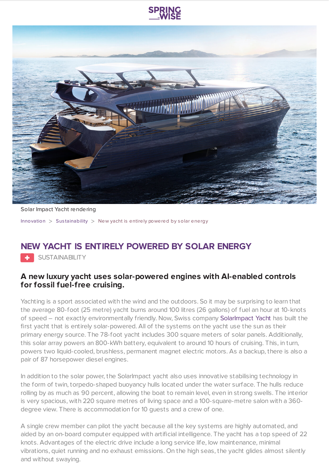



Solar Impact Yacht rendering

[Innovation](https://www.springwise.com/search?type=innovation) > Sus [tainability](https://www.springwise.com/search?type=innovation§or=sustainability) > New yacht is entirely powered by solar energy

## **NEW YACHT IS ENTIRELY POWERED BY SOLAR ENERGY**

SUSTAINABILITY

## **A new luxury yacht uses solar-powered engines with AI-enabled controls for fossil fuel-free cruising.**

Yachting is a sport associated with the wind and the outdoors. So it may be surprising to learn that the average 80-foot (25 metre) yacht burns around 100 litres (26 gallons) of fuel an hour at 10-knots of speed – not exactly environmentally friendly. Now, Swiss company [SolarImpact](http://www.solarimpact-yacht.com/) Yacht has built the first yacht that is entirely solar-powered. All of the systems on the yacht use the sun as their primary energy source. The 78-foot yacht includes 300 square meters of solar panels. Additionally, this solar array powers an 800-kWh battery, equivalent to around 10 hours of cruising. This, in turn, powers two liquid-cooled, brushless, permanent magnet electric motors. As a backup, there is also a pair of 87 horsepower diesel engines.

In addition to the solar power, the SolarImpact yacht also uses innovative stabilising technology in the form of twin, torpedo-shaped buoyancy hulls located under the water surface. The hulls reduce rolling by as much as 90 percent, allowing the boat to remain level, even in strong swells. The interior is very spacious, with 220 square metres of living space and a 100-square-metre salon with a 360 degree view. There is accommodation for 10 guests and a crew of one.

A single crew member can pilot the yacht because all the key systems are highly automated, and aided by an on-board computer equipped with artificial intelligence. The yacht has a top speed of 22 knots. Advantages of the electric drive include a long service life, low maintenance, minimal vibrations, quiet running and no exhaust emissions. On the high seas, the yacht glides almost silently and without swaying.